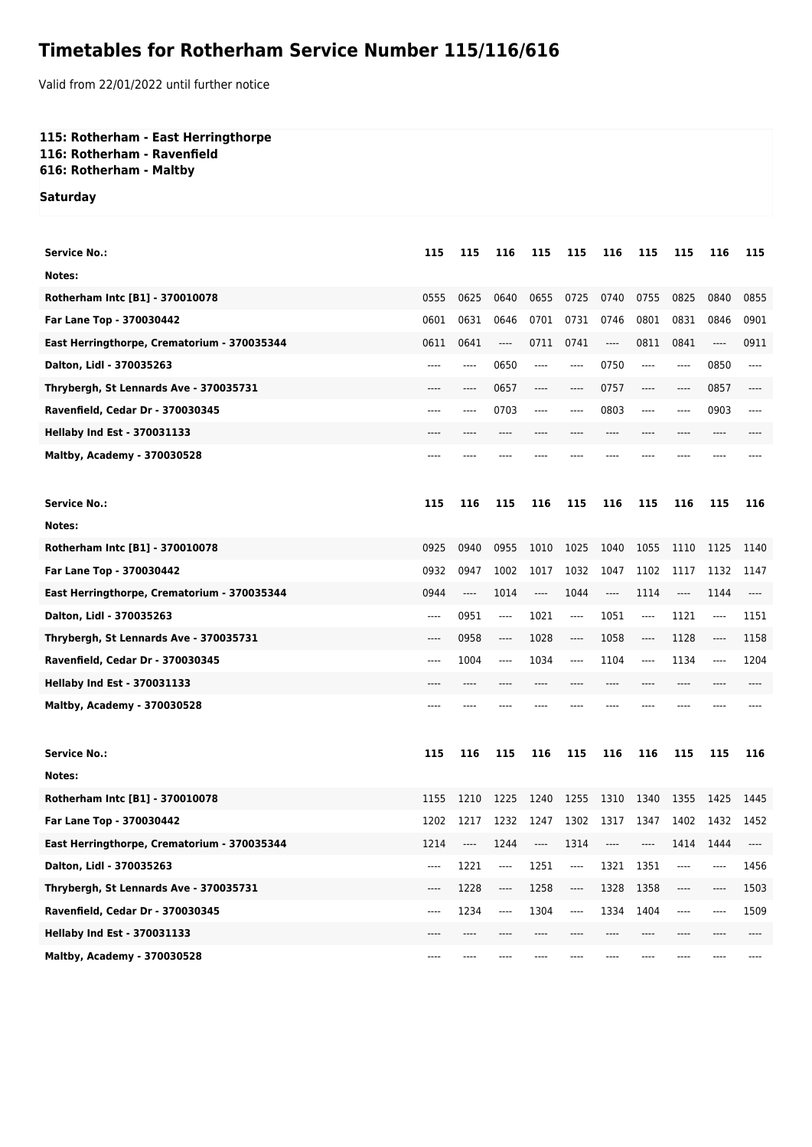# **Timetables for Rotherham Service Number 115/116/616**

Valid from 22/01/2022 until further notice

## **115: Rotherham - East Herringthorpe 116: Rotherham - Ravenfield**

**616: Rotherham - Maltby**

### **Saturday**

| <b>Service No.:</b>                         | 115     | 115   | 116                           | 115  | 115   | 116                           | 115   | 115                           | 116  | 115   |
|---------------------------------------------|---------|-------|-------------------------------|------|-------|-------------------------------|-------|-------------------------------|------|-------|
| Notes:                                      |         |       |                               |      |       |                               |       |                               |      |       |
| Rotherham Intc [B1] - 370010078             | 0555    | 0625  | 0640                          | 0655 | 0725  | 0740                          | 0755  | 0825                          | 0840 | 0855  |
| Far Lane Top - 370030442                    | 0601    | 0631  | 0646                          | 0701 | 0731  | 0746                          | 0801  | 0831                          | 0846 | 0901  |
| East Herringthorpe, Crematorium - 370035344 | 0611    | 0641  | $---$                         | 0711 | 0741  | $\cdots$                      | 0811  | 0841                          | ---- | 0911  |
| Dalton, Lidl - 370035263                    | $---$   | ----  | 0650                          | ---- | ----  | 0750                          | ----  | $-----$                       | 0850 | ----  |
| Thrybergh, St Lennards Ave - 370035731      | ----    | ----  | 0657                          | ---- | ----  | 0757                          | ----  | $---$                         | 0857 | ----  |
| Ravenfield, Cedar Dr - 370030345            | ----    | ----  | 0703                          | ---- | $---$ | 0803                          | ----  | $-----$                       | 0903 | ----  |
| <b>Hellaby Ind Est - 370031133</b>          |         |       | ----                          |      |       | ----                          | ----  | ----                          | ---- |       |
| <b>Maltby, Academy - 370030528</b>          | ----    |       |                               |      |       |                               |       |                               |      |       |
| <b>Service No.:</b>                         | 115     | 116   | 115                           | 116  | 115   | 116                           | 115   | 116                           | 115  | 116   |
| Notes:                                      |         |       |                               |      |       |                               |       |                               |      |       |
| Rotherham Intc [B1] - 370010078             | 0925    | 0940  | 0955                          | 1010 | 1025  | 1040                          | 1055  | 1110                          | 1125 | 1140  |
| Far Lane Top - 370030442                    | 0932    | 0947  | 1002                          | 1017 | 1032  | 1047                          | 1102  | 1117                          | 1132 | 1147  |
| East Herringthorpe, Crematorium - 370035344 | 0944    | $---$ | 1014                          | ---- | 1044  | $\hspace{1.5cm} \textbf{---}$ | 1114  | $\hspace{1.5cm} \textbf{---}$ | 1144 | $---$ |
| Dalton, Lidl - 370035263                    | $---$   | 0951  | ----                          | 1021 | $---$ | 1051                          | ----  | 1121                          | ---- | 1151  |
| Thrybergh, St Lennards Ave - 370035731      | ----    | 0958  | ----                          | 1028 | $---$ | 1058                          | ----  | 1128                          | ---- | 1158  |
| Ravenfield, Cedar Dr - 370030345            | ----    | 1004  | $\hspace{1.5cm} \textbf{---}$ | 1034 | $---$ | 1104                          | $---$ | 1134                          | ---- | 1204  |
| <b>Hellaby Ind Est - 370031133</b>          | ----    | ----  |                               |      |       | ----                          | ----  | ----                          |      |       |
| <b>Maltby, Academy - 370030528</b>          | ----    |       |                               |      |       |                               |       |                               |      |       |
| <b>Service No.:</b>                         | 115     | 116   | 115                           | 116  | 115   | 116                           | 116   | 115                           | 115  | 116   |
| Notes:                                      |         |       |                               |      |       |                               |       |                               |      |       |
| Rotherham Intc [B1] - 370010078             | 1155    | 1210  | 1225                          | 1240 | 1255  | 1310                          | 1340  | 1355                          | 1425 | 1445  |
| Far Lane Top - 370030442                    | 1202    | 1217  | 1232                          | 1247 | 1302  | 1317                          | 1347  | 1402                          | 1432 | 1452  |
| East Herringthorpe, Crematorium - 370035344 | 1214    |       | 1244                          | ---- | 1314  | $---$                         | ----  | 1414                          | 1444 |       |
| Dalton, Lidl - 370035263                    | ----    | 1221  | $\cdots$                      | 1251 | ----  | 1321                          | 1351  | $-----$                       | ---- | 1456  |
| Thrybergh, St Lennards Ave - 370035731      | ----    | 1228  | $\cdots$                      | 1258 | ----  | 1328                          | 1358  | ----                          | ---- | 1503  |
| Ravenfield, Cedar Dr - 370030345            | $-----$ | 1234  | $---$                         | 1304 | ----  | 1334                          | 1404  | $-----$                       |      | 1509  |
| <b>Hellaby Ind Est - 370031133</b>          | ----    | ----  |                               |      |       | ----                          | ----  |                               |      |       |
| Maltby, Academy - 370030528                 | ----    |       |                               |      |       |                               |       |                               |      |       |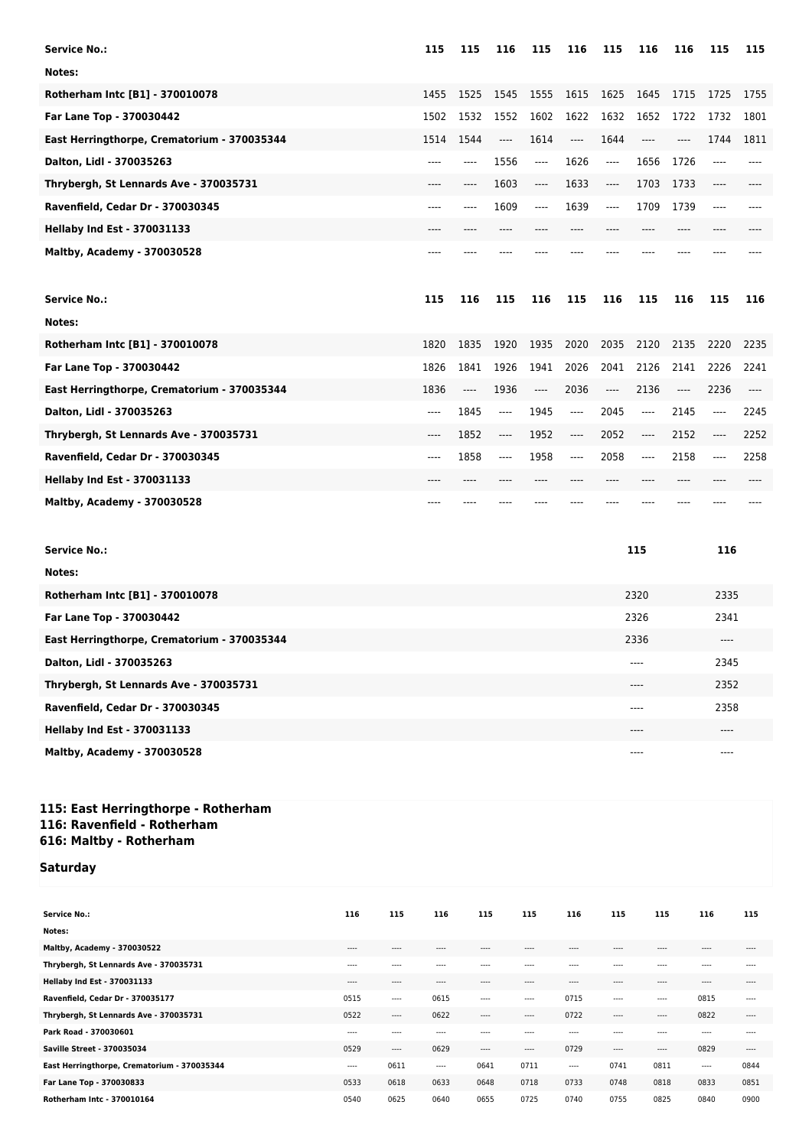| <b>Service No.:</b>                         | 115   | 115  | 116      | 115   | 116   | 115      | 116   | 116  | 115   | 115   |
|---------------------------------------------|-------|------|----------|-------|-------|----------|-------|------|-------|-------|
| Notes:                                      |       |      |          |       |       |          |       |      |       |       |
| Rotherham Intc [B1] - 370010078             | 1455  | 1525 | 1545     | 1555  | 1615  | 1625     | 1645  | 1715 | 1725  | 1755  |
| Far Lane Top - 370030442                    | 1502  | 1532 | 1552     | 1602  | 1622  | 1632     | 1652  | 1722 | 1732  | 1801  |
| East Herringthorpe, Crematorium - 370035344 | 1514  | 1544 | $---$    | 1614  | $---$ | 1644     | $---$ | ---- | 1744  | 1811  |
| Dalton, Lidl - 370035263                    | ----  | ---- | 1556     | $---$ | 1626  | $\cdots$ | 1656  | 1726 | ----  |       |
| Thrybergh, St Lennards Ave - 370035731      | ----  | ---- | 1603     | $---$ | 1633  | $---$    | 1703  | 1733 | $---$ |       |
| Ravenfield, Cedar Dr - 370030345            | ----  | ---- | 1609     | $---$ | 1639  | ----     | 1709  | 1739 | $---$ |       |
| <b>Hellaby Ind Est - 370031133</b>          | ----  |      |          |       |       |          |       |      |       |       |
| Maltby, Academy - 370030528                 | ----  |      |          |       |       |          |       |      |       |       |
|                                             |       |      |          |       |       |          |       |      |       |       |
|                                             |       |      |          |       |       |          |       |      |       |       |
| <b>Service No.:</b>                         | 115   | 116  | 115      | 116   | 115   | 116      | 115   | 116  | 115   | 116   |
| Notes:                                      |       |      |          |       |       |          |       |      |       |       |
| Rotherham Intc [B1] - 370010078             | 1820  | 1835 | 1920     | 1935  | 2020  | 2035     | 2120  | 2135 | 2220  | 2235  |
| Far Lane Top - 370030442                    | 1826  | 1841 | 1926     | 1941  | 2026  | 2041     | 2126  | 2141 | 2226  | 2241  |
| East Herringthorpe, Crematorium - 370035344 | 1836  | ---- | 1936     | ----  | 2036  | $---$    | 2136  | ---- | 2236  | $---$ |
| Dalton, Lidl - 370035263                    | $---$ | 1845 | $---$    | 1945  | $---$ | 2045     | ----  | 2145 | $---$ | 2245  |
| Thrybergh, St Lennards Ave - 370035731      | ----  | 1852 | $\cdots$ | 1952  | $---$ | 2052     | ----  | 2152 |       | 2252  |
| Ravenfield, Cedar Dr - 370030345            | ----  | 1858 | $\cdots$ | 1958  | ----  | 2058     | ----  | 2158 | ----  | 2258  |
| <b>Hellaby Ind Est - 370031133</b>          |       |      |          |       |       |          | ----  |      |       |       |

| <b>Service No.:</b>                         | 115   | 116   |
|---------------------------------------------|-------|-------|
| Notes:                                      |       |       |
| Rotherham Intc [B1] - 370010078             | 2320  | 2335  |
| Far Lane Top - 370030442                    | 2326  | 2341  |
| East Herringthorpe, Crematorium - 370035344 | 2336  | $---$ |
| Dalton, Lidl - 370035263                    | ----  | 2345  |
| Thrybergh, St Lennards Ave - 370035731      | $---$ | 2352  |
| Ravenfield, Cedar Dr - 370030345            | ----  | 2358  |
| <b>Hellaby Ind Est - 370031133</b>          | $---$ | $---$ |
| <b>Maltby, Academy - 370030528</b>          | ----  | $---$ |

#### **115: East Herringthorpe - Rotherham 116: Ravenfield - Rotherham 616: Maltby - Rotherham**

# **Saturday**

| <b>Service No.:</b>                         | 116       | 115       | 116       | 115       | 115       | 116       | 115       | 115       | 116       | 115       |
|---------------------------------------------|-----------|-----------|-----------|-----------|-----------|-----------|-----------|-----------|-----------|-----------|
| Notes:                                      |           |           |           |           |           |           |           |           |           |           |
| Maltby, Academy - 370030522                 | $- - - -$ | ----      | ----      | $- - - -$ | $- - - -$ | $- - - -$ | $- - - -$ | $\cdots$  | ----      | $- - - -$ |
| Thrybergh, St Lennards Ave - 370035731      | $- - - -$ | ----      | ----      | $- - - -$ | ----      | $- - - -$ | $- - - -$ | $- - - -$ | $- - - -$ | ----      |
| <b>Hellaby Ind Est - 370031133</b>          | $- - - -$ | $- - - -$ | $- - - -$ | $- - - -$ | $- - - -$ | $- - - -$ | $- - - -$ | $\cdots$  | $- - - -$ | $\cdots$  |
| Ravenfield, Cedar Dr - 370035177            | 0515      | $---$     | 0615      | $\cdots$  | ----      | 0715      | $- - - -$ | $- - - -$ | 0815      | $\cdots$  |
| Thrybergh, St Lennards Ave - 370035731      | 0522      | $\cdots$  | 0622      | $---$     | ----      | 0722      | $- - - -$ | $\cdots$  | 0822      | $---$     |
| Park Road - 370030601                       | $\cdots$  | ----      | $- - - -$ | $- - - -$ | $- - - -$ | $- - - -$ | $- - - -$ | $- - - -$ | $- - - -$ | $\cdots$  |
| <b>Saville Street - 370035034</b>           | 0529      | $---$     | 0629      | $\cdots$  | ----      | 0729      | $\cdots$  | $\cdots$  | 0829      | $- - - -$ |
| East Herringthorpe, Crematorium - 370035344 | $---$     | 0611      | ----      | 0641      | 0711      | $\cdots$  | 0741      | 0811      | $\cdots$  | 0844      |
| Far Lane Top - 370030833                    | 0533      | 0618      | 0633      | 0648      | 0718      | 0733      | 0748      | 0818      | 0833      | 0851      |
| Rotherham Intc - 370010164                  | 0540      | 0625      | 0640      | 0655      | 0725      | 0740      | 0755      | 0825      | 0840      | 0900      |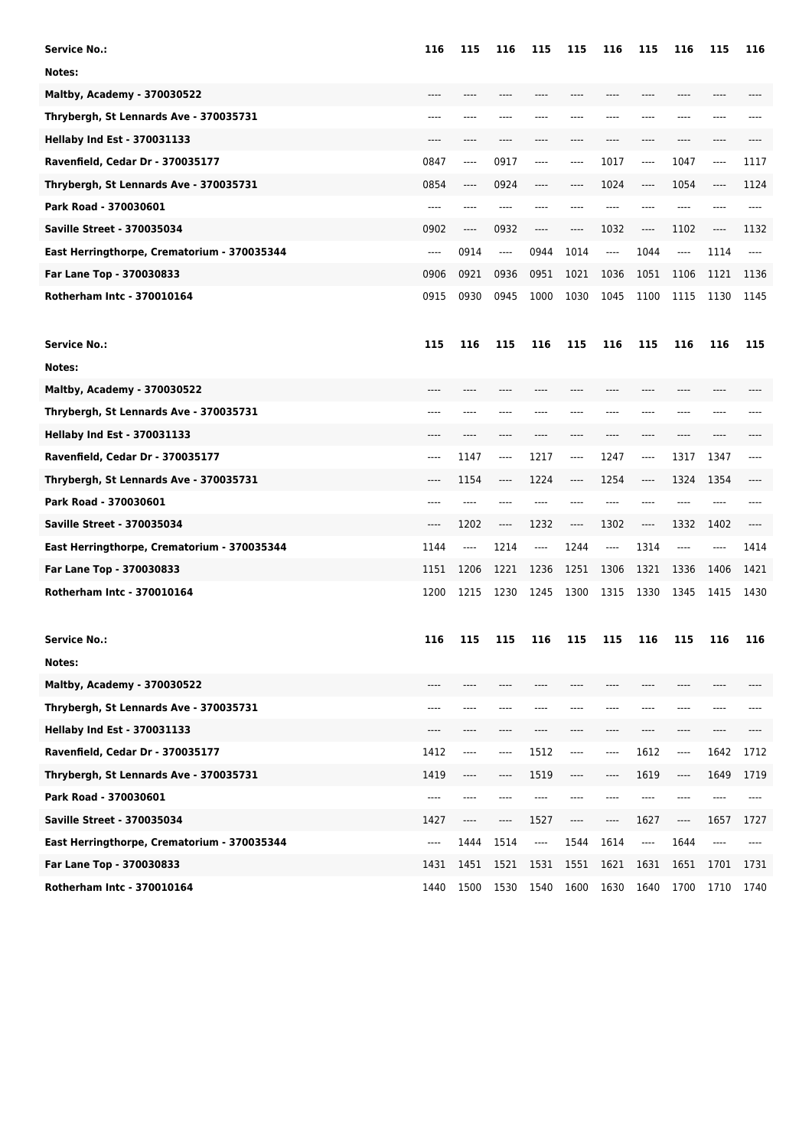| <b>Service No.:</b>                         | 116  | 115                           | 116                           | 115  | 115  | 116                           | 115   | 116  | 115  | 116   |
|---------------------------------------------|------|-------------------------------|-------------------------------|------|------|-------------------------------|-------|------|------|-------|
| Notes:                                      |      |                               |                               |      |      |                               |       |      |      |       |
| <b>Maltby, Academy - 370030522</b>          | ---- | ----                          | ----                          | ---- | ---- | ----                          | ----  | ---- | ---- |       |
| Thrybergh, St Lennards Ave - 370035731      | ---- |                               |                               |      |      |                               |       |      |      |       |
| <b>Hellaby Ind Est - 370031133</b>          |      | ----                          |                               |      |      |                               | ----  |      |      |       |
| Ravenfield, Cedar Dr - 370035177            | 0847 | ----                          | 0917                          | ---- | ---- | 1017                          | ----  | 1047 | ---- | 1117  |
| Thrybergh, St Lennards Ave - 370035731      | 0854 | ----                          | 0924                          | ---- | ---- | 1024                          | ----  | 1054 | ---- | 1124  |
| Park Road - 370030601                       | ---- | ----                          |                               | ---- |      |                               | ----  |      |      |       |
| <b>Saville Street - 370035034</b>           | 0902 | ----                          | 0932                          | ---- | ---- | 1032                          | ----  | 1102 | ---- | 1132  |
| East Herringthorpe, Crematorium - 370035344 | ---- | 0914                          | $\cdots$                      | 0944 | 1014 | $---$                         | 1044  | ---- | 1114 | $---$ |
| Far Lane Top - 370030833                    | 0906 | 0921                          | 0936                          | 0951 | 1021 | 1036                          | 1051  | 1106 | 1121 | 1136  |
| Rotherham Intc - 370010164                  | 0915 | 0930                          | 0945                          | 1000 | 1030 | 1045                          | 1100  | 1115 | 1130 | 1145  |
| <b>Service No.:</b>                         | 115  | 116                           | 115                           | 116  | 115  | 116                           | 115   | 116  | 116  | 115   |
| Notes:                                      |      |                               |                               |      |      |                               |       |      |      |       |
| <b>Maltby, Academy - 370030522</b>          | ---- |                               |                               |      |      |                               |       |      |      |       |
| Thrybergh, St Lennards Ave - 370035731      | ---- | ----                          |                               |      |      |                               | ----  | ---- |      |       |
| <b>Hellaby Ind Est - 370031133</b>          |      |                               |                               |      |      |                               | ----  | ---- |      |       |
| Ravenfield, Cedar Dr - 370035177            | ---- | 1147                          | $\hspace{1.5cm} \textbf{---}$ | 1217 | ---- | 1247                          | ----  | 1317 | 1347 | ----  |
| Thrybergh, St Lennards Ave - 370035731      | ---- | 1154                          | $---$                         | 1224 | ---- | 1254                          | ----  | 1324 | 1354 | ----  |
| Park Road - 370030601                       | ---- | ----                          | ----                          |      | ---- | ----                          | ----  |      | ---- |       |
| <b>Saville Street - 370035034</b>           | ---- | 1202                          | ----                          | 1232 | ---- | 1302                          | ----  | 1332 | 1402 | ----  |
| East Herringthorpe, Crematorium - 370035344 | 1144 | $\hspace{1.5cm} \textbf{---}$ | 1214                          | ---- | 1244 | $\hspace{1.5cm} \textbf{---}$ | 1314  | ---- | ---- | 1414  |
| Far Lane Top - 370030833                    | 1151 | 1206                          | 1221                          | 1236 | 1251 | 1306                          | 1321  | 1336 | 1406 | 1421  |
| Rotherham Intc - 370010164                  | 1200 | 1215                          | 1230                          | 1245 | 1300 | 1315                          | 1330  | 1345 | 1415 | 1430  |
| <b>Service No.:</b>                         | 116  | 115                           | 115                           | 116  | 115  | 115                           | 116   | 115  | 116  | 116   |
| Notes:                                      |      |                               |                               |      |      |                               |       |      |      |       |
| Maltby, Academy - 370030522                 |      |                               |                               |      |      |                               |       |      |      |       |
| Thrybergh, St Lennards Ave - 370035731      | ---- | ----                          | ----                          | ---- |      | ----                          | ----  | ---- | ---- | ----  |
| <b>Hellaby Ind Est - 370031133</b>          | ---- | ----                          | ----                          | ---- | ---- | $---$                         | $---$ | ---- | ---- | ----  |
| Ravenfield, Cedar Dr - 370035177            | 1412 | ----                          | $---$                         | 1512 | ---- | ----                          | 1612  | ---- | 1642 | 1712  |
| Thrybergh, St Lennards Ave - 370035731      | 1419 | ----                          | ----                          | 1519 | ---- | ----                          | 1619  | ---- | 1649 | 1719  |
| Park Road - 370030601                       | ---- | ----                          | ----                          | ---- | ---- | $---$                         | $---$ | ---- | ---- | ----  |
| <b>Saville Street - 370035034</b>           | 1427 | ----                          | ----                          | 1527 | ---- | $\cdots$                      | 1627  | ---- | 1657 | 1727  |
| East Herringthorpe, Crematorium - 370035344 | ---- | 1444                          | 1514                          | ---- | 1544 | 1614                          | ----  | 1644 | ---- | ----  |
| Far Lane Top - 370030833                    | 1431 | 1451                          | 1521                          | 1531 | 1551 | 1621                          | 1631  | 1651 | 1701 | 1731  |
| Rotherham Intc - 370010164                  | 1440 | 1500                          | 1530                          | 1540 | 1600 | 1630                          | 1640  | 1700 | 1710 | 1740  |